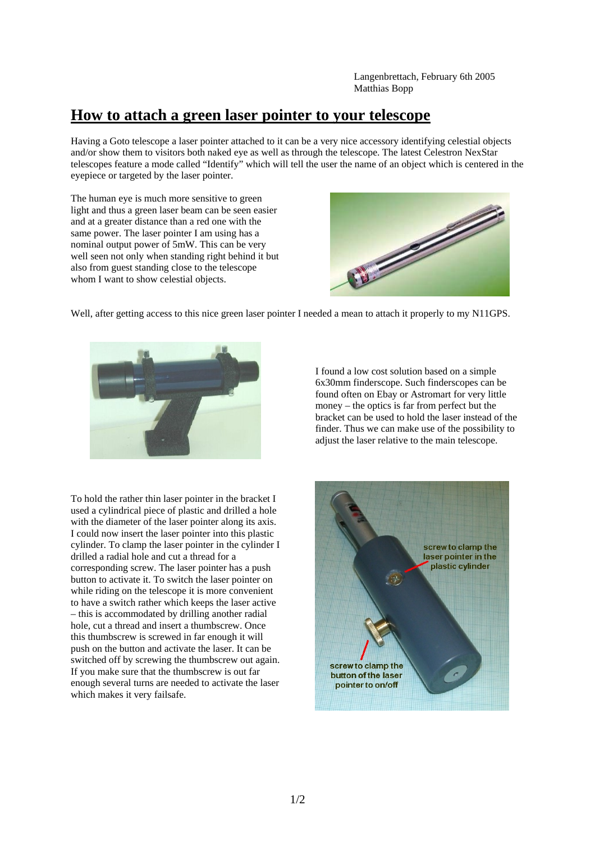Langenbrettach, February 6th 2005 Matthias Bopp

## **How to attach a green laser pointer to your telescope**

Having a Goto telescope a laser pointer attached to it can be a very nice accessory identifying celestial objects and/or show them to visitors both naked eye as well as through the telescope. The latest Celestron NexStar telescopes feature a mode called "Identify" which will tell the user the name of an object which is centered in the eyepiece or targeted by the laser pointer.

The human eye is much more sensitive to green light and thus a green laser beam can be seen easier and at a greater distance than a red one with the same power. The laser pointer I am using has a nominal output power of 5mW. This can be very well seen not only when standing right behind it but also from guest standing close to the telescope whom I want to show celestial objects.



Well, after getting access to this nice green laser pointer I needed a mean to attach it properly to my N11GPS.



To hold the rather thin laser pointer in the bracket I used a cylindrical piece of plastic and drilled a hole with the diameter of the laser pointer along its axis. I could now insert the laser pointer into this plastic cylinder. To clamp the laser pointer in the cylinder I drilled a radial hole and cut a thread for a corresponding screw. The laser pointer has a push button to activate it. To switch the laser pointer on while riding on the telescope it is more convenient to have a switch rather which keeps the laser active – this is accommodated by drilling another radial hole, cut a thread and insert a thumbscrew. Once this thumbscrew is screwed in far enough it will push on the button and activate the laser. It can be switched off by screwing the thumbscrew out again. If you make sure that the thumbscrew is out far enough several turns are needed to activate the laser which makes it very failsafe.

I found a low cost solution based on a simple 6x30mm finderscope. Such finderscopes can be found often on Ebay or Astromart for very little money – the optics is far from perfect but the bracket can be used to hold the laser instead of the finder. Thus we can make use of the possibility to adjust the laser relative to the main telescope.